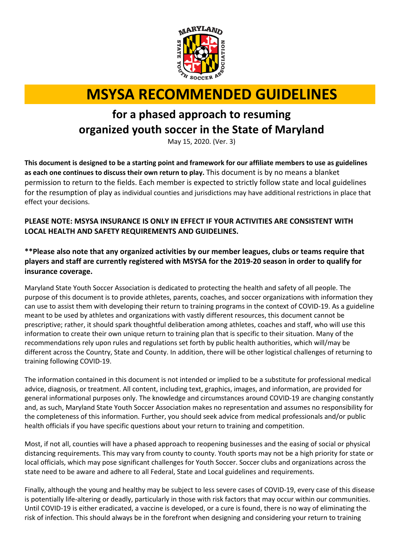

# **MSYSA RECOMMENDED GUIDELINES**

# **for a phased approach to resuming organized youth soccer in the State of Maryland**

May 15, 2020. (Ver. 3)

**This document is designed to be a starting point and framework for our affiliate members to use as guidelines as each one continues to discuss their own return to play.** This document is by no means a blanket permission to return to the fields. Each member is expected to strictly follow state and local guidelines for the resumption of play as individual counties and jurisdictions may have additional restrictions in place that effect your decisions.

### **PLEASE NOTE: MSYSA INSURANCE IS ONLY IN EFFECT IF YOUR ACTIVITIES ARE CONSISTENT WITH LOCAL HEALTH AND SAFETY REQUIREMENTS AND GUIDELINES.**

# **\*\*Please also note that any organized activities by our member leagues, clubs or teams require that players and staff are currently registered with MSYSA for the 2019-20 season in order to qualify for insurance coverage.**

Maryland State Youth Soccer Association is dedicated to protecting the health and safety of all people. The purpose of this document is to provide athletes, parents, coaches, and soccer organizations with information they can use to assist them with developing their return to training programs in the context of COVID-19. As a guideline meant to be used by athletes and organizations with vastly different resources, this document cannot be prescriptive; rather, it should spark thoughtful deliberation among athletes, coaches and staff, who will use this information to create their own unique return to training plan that is specific to their situation. Many of the recommendations rely upon rules and regulations set forth by public health authorities, which will/may be different across the Country, State and County. In addition, there will be other logistical challenges of returning to training following COVID-19.

The information contained in this document is not intended or implied to be a substitute for professional medical advice, diagnosis, or treatment. All content, including text, graphics, images, and information, are provided for general informational purposes only. The knowledge and circumstances around COVID-19 are changing constantly and, as such, Maryland State Youth Soccer Association makes no representation and assumes no responsibility for the completeness of this information. Further, you should seek advice from medical professionals and/or public health officials if you have specific questions about your return to training and competition.

Most, if not all, counties will have a phased approach to reopening businesses and the easing of social or physical distancing requirements. This may vary from county to county. Youth sports may not be a high priority for state or local officials, which may pose significant challenges for Youth Soccer. Soccer clubs and organizations across the state need to be aware and adhere to all Federal, State and Local guidelines and requirements.

Finally, although the young and healthy may be subject to less severe cases of COVID-19, every case of this disease is potentially life-altering or deadly, particularly in those with risk factors that may occur within our communities. Until COVID-19 is either eradicated, a vaccine is developed, or a cure is found, there is no way of eliminating the risk of infection. This should always be in the forefront when designing and considering your return to training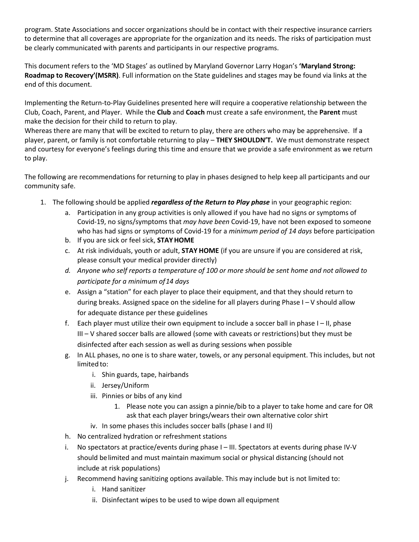program. State Associations and soccer organizations should be in contact with their respective insurance carriers to determine that all coverages are appropriate for the organization and its needs. The risks of participation must be clearly communicated with parents and participants in our respective programs.

This document refers to the 'MD Stages' as outlined by Maryland Governor Larry Hogan's **'Maryland Strong: Roadmap to Recovery'(MSRR)**. Full information on the State guidelines and stages may be found via links at the end of this document.

Implementing the Return-to-Play Guidelines presented here will require a cooperative relationship between the Club, Coach, Parent, and Player. While the **Club** and **Coach** must create a safe environment, the **Parent** must make the decision for their child to return to play.

Whereas there are many that will be excited to return to play, there are others who may be apprehensive. If a player, parent, or family is not comfortable returning to play – **THEY SHOULDN'T.** We must demonstrate respect and courtesy for everyone's feelings during this time and ensure that we provide a safe environment as we return to play.

The following are recommendations for returning to play in phases designed to help keep all participants and our community safe.

- 1. The following should be applied *regardless of the Return to Play phase* in your geographic region:
	- a. Participation in any group activities is only allowed if you have had no signs or symptoms of Covid-19, no signs/symptoms that *may have been* Covid-19, have not been exposed to someone who has had signs or symptoms of Covid-19 for a *minimum period of 14 days* before participation
	- b. If you are sick or feel sick, **STAYHOME**
	- c. At risk individuals, youth or adult, **STAY HOME** (if you are unsure if you are considered at risk, please consult your medical provider directly)
	- *d. Anyone who self reports a temperature of 100 or more should be sent home and not allowed to participate for a minimum of14 days*
	- e. Assign a "station" for each player to place their equipment, and that they should return to during breaks. Assigned space on the sideline for all players during Phase I – V should allow for adequate distance per these guidelines
	- f. Each player must utilize their own equipment to include a soccer ball in phase I II, phase  $III - V$  shared soccer balls are allowed (some with caveats or restrictions) but they must be disinfected after each session as well as during sessions when possible
	- g. In ALL phases, no one is to share water, towels, or any personal equipment. This includes, but not limited to:
		- i. Shin guards, tape, hairbands
		- ii. Jersey/Uniform
		- iii. Pinnies or bibs of any kind
			- 1. Please note you can assign a pinnie/bib to a player to take home and care for OR ask that each player brings/wears their own alternative color shirt
		- iv. In some phases this includes soccer balls (phase I and II)
	- h. No centralized hydration or refreshment stations
	- i. No spectators at practice/events during phase I III. Spectators at events during phase IV-V should belimited and must maintain maximum social or physical distancing (should not include at risk populations)
	- j. Recommend having sanitizing options available. This may include but is not limited to:
		- i. Hand sanitizer
		- ii. Disinfectant wipes to be used to wipe down all equipment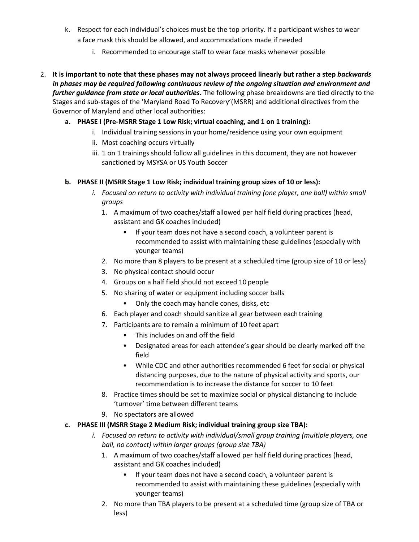- k. Respect for each individual's choices must be the top priority. If a participant wishes to wear a face mask this should be allowed, and accommodations made if needed
	- i. Recommended to encourage staff to wear face masks whenever possible
- 2. **It is important to note that these phases may not always proceed linearly but rather a step** *backwards in phases may be required following continuous review of the ongoing situation and environment and further guidance from state or local authorities.* The following phase breakdowns are tied directly to the Stages and sub-stages of the 'Maryland Road To Recovery'(MSRR) and additional directives from the Governor of Maryland and other local authorities:
	- **a. PHASE I (Pre-MSRR Stage 1 Low Risk; virtual coaching, and 1 on 1 training):**
		- i. Individual training sessions in your home/residence using your own equipment
		- ii. Most coaching occurs virtually
		- iii. 1 on 1 trainings should follow all guidelines in this document, they are not however sanctioned by MSYSA or US Youth Soccer

#### **b. PHASE II (MSRR Stage 1 Low Risk; individual training group sizes of 10 or less):**

- *i. Focused on return to activity with individual training (one player, one ball) within small groups*
	- 1. A maximum of two coaches/staff allowed per half field during practices (head, assistant and GK coaches included)
		- If your team does not have a second coach, a volunteer parent is recommended to assist with maintaining these guidelines (especially with younger teams)
	- 2. No more than 8 players to be present at a scheduled time (group size of 10 or less)
	- 3. No physical contact should occur
	- 4. Groups on a half field should not exceed 10 people
	- 5. No sharing of water or equipment including soccer balls
		- Only the coach may handle cones, disks, etc
	- 6. Each player and coach should sanitize all gear between eachtraining
	- 7. Participants are to remain a minimum of 10 feet apart
		- This includes on and off the field
		- Designated areas for each attendee's gear should be clearly marked off the field
		- While CDC and other authorities recommended 6 feet for social or physical distancing purposes, due to the nature of physical activity and sports, our recommendation is to increase the distance for soccer to 10 feet
	- 8. Practice times should be set to maximize social or physical distancing to include 'turnover' time between different teams
	- 9. No spectators are allowed
- **c. PHASE III (MSRR Stage 2 Medium Risk; individual training group size TBA):**
	- *i. Focused on return to activity with individual/small group training (multiple players, one ball, no contact) within larger groups (group size TBA)*
		- 1. A maximum of two coaches/staff allowed per half field during practices (head, assistant and GK coaches included)
			- If your team does not have a second coach, a volunteer parent is recommended to assist with maintaining these guidelines (especially with younger teams)
		- 2. No more than TBA players to be present at a scheduled time (group size of TBA or less)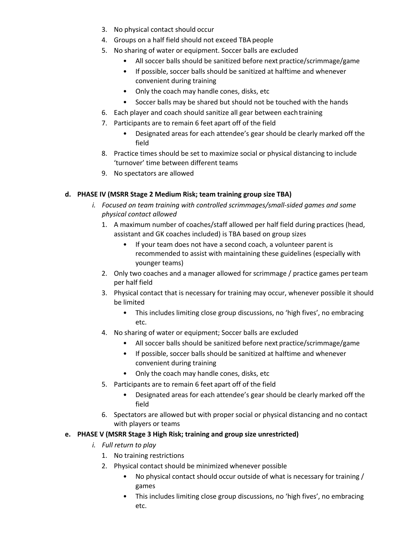- 3. No physical contact should occur
- 4. Groups on a half field should not exceed TBA people
- 5. No sharing of water or equipment. Soccer balls are excluded
	- All soccer balls should be sanitized before next practice/scrimmage/game
	- If possible, soccer balls should be sanitized at halftime and whenever convenient during training
	- Only the coach may handle cones, disks, etc
	- Soccer balls may be shared but should not be touched with the hands
- 6. Each player and coach should sanitize all gear between eachtraining
- 7. Participants are to remain 6 feet apart off of the field
	- Designated areas for each attendee's gear should be clearly marked off the field
- 8. Practice times should be set to maximize social or physical distancing to include 'turnover' time between different teams
- 9. No spectators are allowed

#### **d. PHASE IV (MSRR Stage 2 Medium Risk; team training group size TBA)**

- *i. Focused on team training with controlled scrimmages/small-sided games and some physical contact allowed*
	- 1. A maximum number of coaches/staff allowed per half field during practices (head, assistant and GK coaches included) is TBA based on group sizes
		- If your team does not have a second coach, a volunteer parent is recommended to assist with maintaining these guidelines (especially with younger teams)
	- 2. Only two coaches and a manager allowed for scrimmage / practice games perteam per half field
	- 3. Physical contact that is necessary for training may occur, whenever possible it should be limited
		- This includes limiting close group discussions, no 'high fives', no embracing etc.
	- 4. No sharing of water or equipment; Soccer balls are excluded
		- All soccer balls should be sanitized before next practice/scrimmage/game
		- If possible, soccer balls should be sanitized at halftime and whenever convenient during training
		- Only the coach may handle cones, disks, etc
	- 5. Participants are to remain 6 feet apart off of the field
		- Designated areas for each attendee's gear should be clearly marked off the field
	- 6. Spectators are allowed but with proper social or physical distancing and no contact with players or teams

#### **e. PHASE V (MSRR Stage 3 High Risk; training and group size unrestricted)**

- *i. Full return to play*
	- 1. No training restrictions
	- 2. Physical contact should be minimized whenever possible
		- No physical contact should occur outside of what is necessary for training / games
		- This includes limiting close group discussions, no 'high fives', no embracing etc.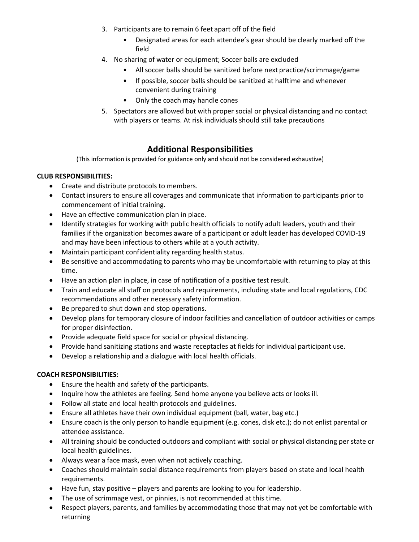- 3. Participants are to remain 6 feet apart off of the field
	- Designated areas for each attendee's gear should be clearly marked off the field
- 4. No sharing of water or equipment; Soccer balls are excluded
	- All soccer balls should be sanitized before next practice/scrimmage/game
	- If possible, soccer balls should be sanitized at halftime and whenever convenient during training
	- Only the coach may handle cones
- 5. Spectators are allowed but with proper social or physical distancing and no contact with players or teams. At risk individuals should still take precautions

# **Additional Responsibilities**

(This information is provided for guidance only and should not be considered exhaustive)

#### **CLUB RESPONSIBILITIES:**

- Create and distribute protocols to members.
- Contact insurers to ensure all coverages and communicate that information to participants prior to commencement of initial training.
- Have an effective communication plan in place.
- Identify strategies for working with public health officials to notify adult leaders, youth and their families if the organization becomes aware of a participant or adult leader has developed COVID-19 and may have been infectious to others while at a youth activity.
- Maintain participant confidentiality regarding health status.
- Be sensitive and accommodating to parents who may be uncomfortable with returning to play at this time.
- Have an action plan in place, in case of notification of a positive test result.
- Train and educate all staff on protocols and requirements, including state and local regulations, CDC recommendations and other necessary safety information.
- Be prepared to shut down and stop operations.
- Develop plans for temporary closure of indoor facilities and cancellation of outdoor activities or camps for proper disinfection.
- Provide adequate field space for social or physical distancing.
- Provide hand sanitizing stations and waste receptacles at fields for individual participant use.
- Develop a relationship and a dialogue with local health officials.

#### **COACH RESPONSIBILITIES:**

- Ensure the health and safety of the participants.
- Inquire how the athletes are feeling. Send home anyone you believe acts or looks ill.
- Follow all state and local health protocols and guidelines.
- Ensure all athletes have their own individual equipment (ball, water, bag etc.)
- Ensure coach is the only person to handle equipment (e.g. cones, disk etc.); do not enlist parental or attendee assistance.
- All training should be conducted outdoors and compliant with social or physical distancing per state or local health guidelines.
- Always wear a face mask, even when not actively coaching.
- Coaches should maintain social distance requirements from players based on state and local health requirements.
- Have fun, stay positive players and parents are looking to you for leadership.
- The use of scrimmage vest, or pinnies, is not recommended at this time.
- Respect players, parents, and families by accommodating those that may not yet be comfortable with returning